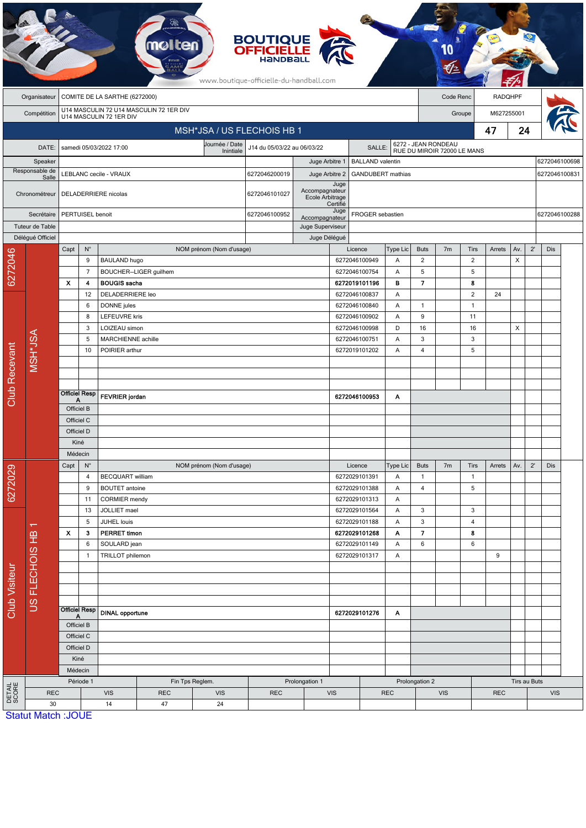|                      |                         |                                                                    |                                  |                                     |                        |                                                               | <b>BOUTIQUE<br/>OFFICIELLE</b><br>www.boutique-officielle-du-handball.com |                                   |                          |                                          |                                                    |                   |                |                    |                |     |               |               |  |
|----------------------|-------------------------|--------------------------------------------------------------------|----------------------------------|-------------------------------------|------------------------|---------------------------------------------------------------|---------------------------------------------------------------------------|-----------------------------------|--------------------------|------------------------------------------|----------------------------------------------------|-------------------|----------------|--------------------|----------------|-----|---------------|---------------|--|
|                      | Organisateur            | COMITE DE LA SARTHE (6272000)                                      |                                  |                                     |                        |                                                               |                                                                           |                                   |                          |                                          | Code Renc                                          |                   |                |                    | <b>RADQHPF</b> |     |               |               |  |
|                      | Compétition             | U14 MASCULIN 72 U14 MASCULIN 72 1ER DIV<br>U14 MASCULIN 72 1ER DIV |                                  |                                     |                        |                                                               |                                                                           |                                   |                          |                                          |                                                    | Groupe            |                |                    | M627255001     |     |               |               |  |
|                      |                         |                                                                    |                                  |                                     |                        | MSH*JSA / US FLECHOIS HB 1                                    |                                                                           |                                   |                          |                                          |                                                    |                   |                | 47                 | 24             |     |               |               |  |
|                      | DATE:                   |                                                                    |                                  | samedi 05/03/2022 17:00             |                        | Journée / Date<br>J14 du 05/03/22 au 06/03/22<br><b>SALLE</b> |                                                                           |                                   |                          |                                          | 6272 - JEAN RONDEAU<br>RUE DU MIROIR 72000 LE MANS |                   |                |                    |                |     |               |               |  |
|                      | Speaker                 |                                                                    |                                  |                                     |                        | Inintiale                                                     |                                                                           | Juge Arbitre 1                    | <b>BALLAND</b> valentin  |                                          |                                                    |                   |                |                    |                |     | 6272046100698 |               |  |
|                      | Responsable de<br>Salle |                                                                    |                                  | LEBLANC cecile - VRAUX              |                        | 6272046200019                                                 | Juge Arbitre 2                                                            |                                   | <b>GANDUBERT</b> mathias |                                          |                                                    |                   |                |                    |                |     |               | 6272046100831 |  |
|                      | Chronométreur           |                                                                    |                                  | DELADERRIERE nicolas                |                        |                                                               | 6272046101027                                                             | Accompagnateur<br>Ecole Arbitrage | Juge<br>Certifié         |                                          |                                                    |                   |                |                    |                |     |               |               |  |
|                      | Secrétaire              |                                                                    | PERTUISEL benoit                 |                                     |                        |                                                               |                                                                           | Accompagnateur                    | Juge                     | FROGER sebastien                         |                                                    |                   |                |                    |                |     | 6272046100288 |               |  |
|                      | Tuteur de Table         |                                                                    |                                  |                                     |                        |                                                               |                                                                           | Juge Superviseur                  |                          |                                          |                                                    |                   |                |                    |                |     |               |               |  |
|                      | Déléqué Officiel        | Capt                                                               | $N^{\circ}$                      |                                     |                        | NOM prénom (Nom d'usage)                                      |                                                                           | Juge Délégué                      |                          | Licence                                  | Type Lic                                           | <b>Buts</b>       | 7 <sub>m</sub> | Tirs               | Arrets         | Av. | $2^{\prime}$  | <b>Dis</b>    |  |
|                      |                         |                                                                    | 9                                | <b>BAULAND hugo</b>                 |                        |                                                               |                                                                           |                                   |                          | 6272046100949                            | A                                                  | $\overline{c}$    |                | $\overline{2}$     |                | X   |               |               |  |
| 6272046              |                         |                                                                    | $\overline{7}$                   |                                     | BOUCHER--LIGER guilhem |                                                               |                                                                           |                                   |                          | 6272046100754                            | Α                                                  | 5                 |                | 5                  |                |     |               |               |  |
|                      |                         | x                                                                  | 4                                | <b>BOUGIS</b> sacha                 |                        |                                                               |                                                                           |                                   |                          | 6272019101196                            | в                                                  | 7                 |                | 8                  |                |     |               |               |  |
|                      |                         | 12                                                                 |                                  | DELADERRIERE leo                    |                        |                                                               |                                                                           |                                   |                          | 6272046100837                            | Α                                                  |                   |                | $\overline{2}$     | 24             |     |               |               |  |
|                      |                         |                                                                    | 6<br>8                           | DONNE jules<br><b>LEFEUVRE kris</b> |                        |                                                               |                                                                           |                                   |                          | 6272046100840<br>6272046100902           | Α<br>A                                             | $\mathbf{1}$<br>9 |                | $\mathbf{1}$<br>11 |                |     |               |               |  |
|                      |                         |                                                                    | 3                                | LOIZEAU simon                       |                        |                                                               |                                                                           |                                   |                          | 6272046100998<br>D                       |                                                    | 16                |                | 16                 |                | X   |               |               |  |
|                      | MSH*JSA                 | 5                                                                  |                                  |                                     | MARCHIENNE achille     |                                                               |                                                                           |                                   |                          | 6272046100751<br>Α<br>6272019101202<br>A |                                                    | 3                 |                | 3                  |                |     |               |               |  |
|                      |                         |                                                                    | POIRIER arthur<br>10             |                                     |                        |                                                               |                                                                           |                                   | 4                        |                                          |                                                    |                   | 5              |                    |                |     |               |               |  |
|                      |                         |                                                                    |                                  |                                     |                        |                                                               |                                                                           |                                   |                          |                                          |                                                    |                   |                |                    |                |     |               |               |  |
|                      |                         |                                                                    |                                  |                                     |                        |                                                               |                                                                           |                                   |                          |                                          |                                                    |                   |                |                    |                |     |               |               |  |
| <b>Club Recevant</b> |                         |                                                                    | <b>Officiel Resp</b>             | <b>FEVRIER</b> jordan               |                        |                                                               |                                                                           |                                   |                          | 6272046100953                            | A                                                  |                   |                |                    |                |     |               |               |  |
|                      |                         | Α<br>Officiel B                                                    |                                  |                                     |                        |                                                               |                                                                           |                                   |                          |                                          |                                                    |                   |                |                    |                |     |               |               |  |
|                      |                         | Officiel C                                                         |                                  |                                     |                        |                                                               |                                                                           |                                   |                          |                                          |                                                    |                   |                |                    |                |     |               |               |  |
|                      |                         | Officiel D                                                         |                                  |                                     |                        |                                                               |                                                                           |                                   |                          |                                          |                                                    |                   |                |                    |                |     |               |               |  |
|                      |                         | Kiné<br>Médecin                                                    |                                  |                                     |                        |                                                               |                                                                           |                                   |                          |                                          |                                                    |                   |                |                    |                |     |               |               |  |
|                      |                         | $\mathsf{N}^\circ$<br>Capt                                         |                                  |                                     |                        | NOM prénom (Nom d'usage)                                      |                                                                           |                                   |                          | Licence                                  | Type Lic                                           | <b>Buts</b>       | 7 <sub>m</sub> | Tirs               | Arrets         | Av. | $2^{\prime}$  | Dis           |  |
|                      |                         |                                                                    | 4                                | BECQUART william                    |                        |                                                               |                                                                           |                                   |                          | 6272029101391                            | A                                                  | $\mathbf{1}$      |                | $\mathbf{1}$       |                |     |               |               |  |
| 6272029              |                         |                                                                    | 9                                | <b>BOUTET</b> antoine               |                        |                                                               |                                                                           |                                   |                          | 6272029101388                            | A                                                  | 4                 |                | 5                  |                |     |               |               |  |
|                      |                         |                                                                    |                                  | 11                                  | <b>CORMIER</b> mendy   |                                                               |                                                                           |                                   |                          |                                          | 6272029101313                                      | Α                 |                |                    |                |     |               |               |  |
| Club Visiteur        |                         |                                                                    | 13<br>5                          | JOLLIET mael<br>JUHEL louis         |                        |                                                               |                                                                           |                                   |                          | 6272029101564<br>6272029101188           | Α<br>Α                                             | 3<br>3            |                | 3<br>4             |                |     |               |               |  |
|                      | π                       | $\mathbf{x}$                                                       | 3                                | <b>PERRET timon</b>                 |                        |                                                               |                                                                           |                                   |                          | 6272029101268                            | Α                                                  | $\overline{7}$    |                | 8                  |                |     |               |               |  |
|                      |                         |                                                                    | 6                                | SOULARD jean                        |                        |                                                               |                                                                           |                                   |                          | 6272029101149                            | A                                                  | 6                 |                | 6                  |                |     |               |               |  |
|                      |                         |                                                                    | TRILLOT philemon<br>$\mathbf{1}$ |                                     |                        | 6272029101317                                                 |                                                                           |                                   | A                        |                                          |                                                    |                   | 9              |                    |                |     |               |               |  |
|                      |                         |                                                                    |                                  |                                     |                        |                                                               |                                                                           |                                   |                          |                                          |                                                    |                   |                |                    |                |     |               |               |  |
|                      | US FLECHOIS HB          |                                                                    |                                  |                                     |                        |                                                               |                                                                           |                                   |                          |                                          |                                                    |                   |                |                    |                |     |               |               |  |
|                      |                         |                                                                    |                                  |                                     |                        |                                                               |                                                                           |                                   |                          |                                          |                                                    |                   |                |                    |                |     |               |               |  |
|                      |                         | <b>Officiel Resp</b><br>A<br>Officiel B                            |                                  | <b>DINAL opportune</b>              |                        |                                                               |                                                                           | 6272029101276                     |                          | A                                        |                                                    |                   |                |                    |                |     |               |               |  |
|                      |                         |                                                                    |                                  |                                     |                        |                                                               |                                                                           |                                   |                          |                                          |                                                    |                   |                |                    |                |     |               |               |  |
|                      |                         |                                                                    | Officiel C                       |                                     |                        |                                                               |                                                                           |                                   |                          |                                          |                                                    |                   |                |                    |                |     |               |               |  |
|                      |                         |                                                                    | Officiel D<br>Kiné               |                                     |                        |                                                               |                                                                           |                                   |                          |                                          |                                                    |                   |                |                    |                |     |               |               |  |
|                      |                         |                                                                    | Médecin                          |                                     |                        |                                                               |                                                                           |                                   |                          |                                          |                                                    |                   |                |                    |                |     |               |               |  |
|                      |                         |                                                                    | Période 1<br>Fin Tps Reglem.     |                                     |                        | Prolongation 1                                                |                                                                           |                                   |                          | Prolongation 2                           |                                                    |                   |                | Tirs au Buts       |                |     |               |               |  |
| DETAIL<br>SCORE      | <b>REC</b>              |                                                                    |                                  | <b>VIS</b>                          | <b>REC</b>             | <b>VIS</b>                                                    | <b>REC</b>                                                                | <b>VIS</b>                        |                          | <b>REC</b>                               |                                                    | <b>VIS</b>        |                | <b>REC</b>         |                |     | <b>VIS</b>    |               |  |
|                      | 30                      | <b>Statut Match: JOUE</b>                                          |                                  | 14                                  | 47                     | 24                                                            |                                                                           |                                   |                          |                                          |                                                    |                   |                |                    |                |     |               |               |  |